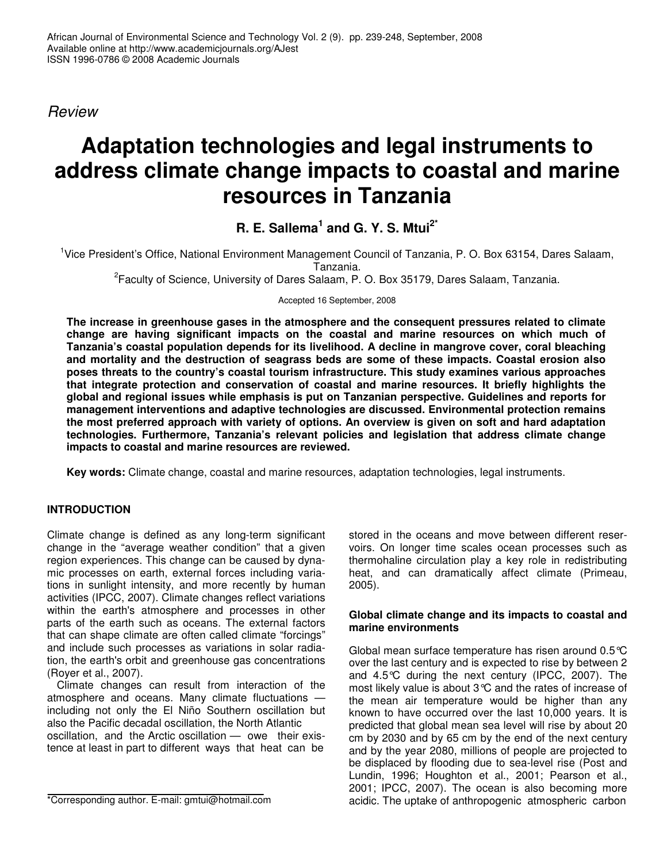*Review*

# **Adaptation technologies and legal instruments to address climate change impacts to coastal and marine resources in Tanzania**

**R. E. Sallema 1 and G. Y. S. Mtui 2\***

<sup>1</sup>Vice President's Office, National Environment Management Council of Tanzania, P. O. Box 63154, Dares Salaam, Tanzania.

<sup>2</sup> Faculty of Science, University of Dares Salaam, P. O. Box 35179, Dares Salaam, Tanzania.

Accepted 16 September, 2008

**The increase in greenhouse gases in the atmosphere and the consequent pressures related to climate change are having significant impacts on the coastal and marine resources on which much of Tanzania's coastal population depends for its livelihood. A decline in mangrove cover, coral bleaching and mortality and the destruction of seagrass beds are some of these impacts. Coastal erosion also poses threats to the country's coastal tourism infrastructure. This study examines various approaches that integrate protection and conservation of coastal and marine resources. It briefly highlights the global and regional issues while emphasis is put on Tanzanian perspective. Guidelines and reports for management interventions and adaptive technologies are discussed. Environmental protection remains the most preferred approach with variety of options. An overview is given on soft and hard adaptation technologies. Furthermore, Tanzania's relevant policies and legislation that address climate change impacts to coastal and marine resources are reviewed.**

**Key words:** Climate change, coastal and marine resources, adaptation technologies, legal instruments.

# **INTRODUCTION**

Climate change is defined as any long-term significant change in the "average weather condition" that a given region experiences. This change can be caused by dynamic processes on earth, external forces including variations in sunlight intensity, and more recently by human activities (IPCC, 2007). Climate changes reflect variations within the earth's atmosphere and processes in other parts of the earth such as oceans. The external factors that can shape climate are often called climate "forcings" and include such processes as variations in solar radiation, the earth's orbit and greenhouse gas concentrations (Royer et al., 2007).

Climate changes can result from interaction of the atmosphere and oceans. Many climate fluctuations including not only the El Niño Southern oscillation but also the Pacific decadal oscillation, the North Atlantic oscillation, and the Arctic oscillation — owe their existence at least in part to different ways that heat can be

stored in the oceans and move between different reservoirs. On longer time scales ocean processes such as thermohaline circulation play a key role in redistributing heat, and can dramatically affect climate (Primeau, 2005).

## **Global climate change and its impacts to coastal and marine environments**

Global mean surface temperature has risen around 0.5°C over the last century and is expected to rise by between 2 and 4.5°C during the next century (IPCC, 2007). The most likely value is about 3°C and the rates of increase of the mean air temperature would be higher than any known to have occurred over the last 10,000 years. It is predicted that global mean sea level will rise by about 20 cm by 2030 and by 65 cm by the end of the next century and by the year 2080, millions of people are projected to be displaced by flooding due to sea-level rise (Post and Lundin, 1996; Houghton et al., 2001; Pearson et al., 2001; IPCC, 2007). The ocean is also becoming more acidic. The uptake of anthropogenic atmospheric carbon

<sup>\*</sup>Corresponding author. E-mail: gmtui@hotmail.com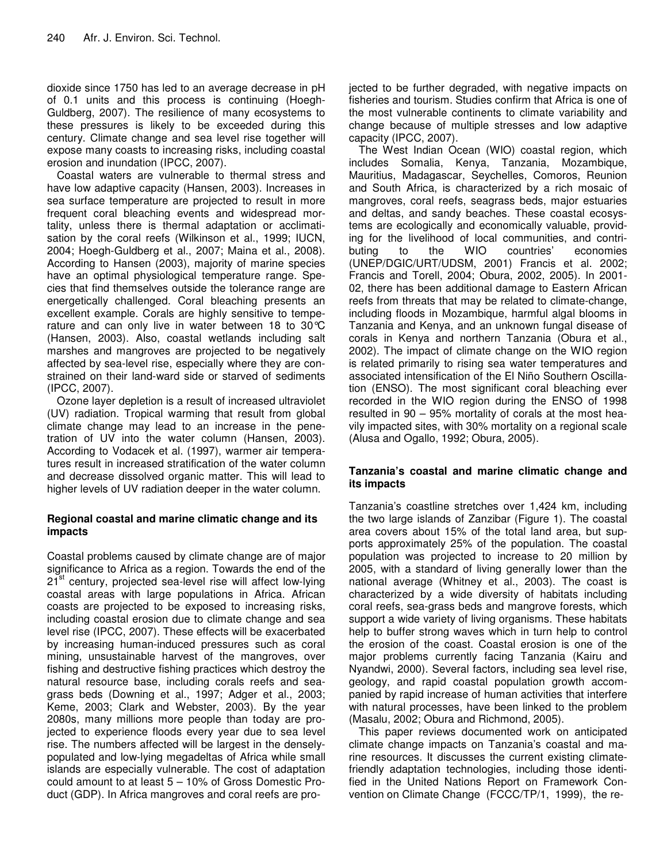dioxide since 1750 has led to an average decrease in pH of 0.1 units and this process is continuing (Hoegh-Guldberg, 2007). The resilience of many ecosystems to these pressures is likely to be exceeded during this century. Climate change and sea level rise together will expose many coasts to increasing risks, including coastal erosion and inundation (IPCC, 2007).

Coastal waters are vulnerable to thermal stress and have low adaptive capacity (Hansen, 2003). Increases in sea surface temperature are projected to result in more frequent coral bleaching events and widespread mortality, unless there is thermal adaptation or acclimatisation by the coral reefs (Wilkinson et al., 1999; IUCN, 2004; Hoegh-Guldberg et al., 2007; Maina et al., 2008). According to Hansen (2003), majority of marine species have an optimal physiological temperature range. Species that find themselves outside the tolerance range are energetically challenged. Coral bleaching presents an excellent example. Corals are highly sensitive to temperature and can only live in water between 18 to 30°C (Hansen, 2003). Also, coastal wetlands including salt marshes and mangroves are projected to be negatively affected by sea-level rise, especially where they are constrained on their land-ward side or starved of sediments (IPCC, 2007).

Ozone layer depletion is a result of increased ultraviolet (UV) radiation. Tropical warming that result from global climate change may lead to an increase in the penetration of UV into the water column (Hansen, 2003). According to Vodacek et al. (1997), warmer air temperatures result in increased stratification of the water column and decrease dissolved organic matter. This will lead to higher levels of UV radiation deeper in the water column.

## **Regional coastal and marine climatic change and its impacts**

Coastal problems caused by climate change are of major significance to Africa as a region. Towards the end of the 21<sup>st</sup> century, projected sea-level rise will affect low-lying coastal areas with large populations in Africa. African coasts are projected to be exposed to increasing risks, including coastal erosion due to climate change and sea level rise (IPCC, 2007). These effects will be exacerbated by increasing human-induced pressures such as coral mining, unsustainable harvest of the mangroves, over fishing and destructive fishing practices which destroy the natural resource base, including corals reefs and seagrass beds (Downing et al., 1997; Adger et al., 2003; Keme, 2003; Clark and Webster, 2003). By the year 2080s, many millions more people than today are projected to experience floods every year due to sea level rise. The numbers affected will be largest in the denselypopulated and low-lying megadeltas of Africa while small islands are especially vulnerable. The cost of adaptation could amount to at least 5 – 10% of Gross Domestic Product (GDP). In Africa mangroves and coral reefs are projected to be further degraded, with negative impacts on fisheries and tourism. Studies confirm that Africa is one of the most vulnerable continents to climate variability and change because of multiple stresses and low adaptive capacity (IPCC, 2007).

The West Indian Ocean (WIO) coastal region, which includes Somalia, Kenya, Tanzania, Mozambique, Mauritius, Madagascar, Seychelles, Comoros, Reunion and South Africa, is characterized by a rich mosaic of mangroves, coral reefs, seagrass beds, major estuaries and deltas, and sandy beaches. These coastal ecosystems are ecologically and economically valuable, providing for the livelihood of local communities, and contri-<br>buting bto the WIO countries' economies buting to the WIO countries' economies (UNEP/DGIC/URT/UDSM, 2001) Francis et al. 2002; Francis and Torell, 2004; Obura, 2002, 2005). In 2001- 02, there has been additional damage to Eastern African reefs from threats that may be related to climate-change, including floods in Mozambique, harmful algal blooms in Tanzania and Kenya, and an unknown fungal disease of corals in Kenya and northern Tanzania (Obura et al., 2002). The impact of climate change on the WIO region is related primarily to rising sea water temperatures and associated intensification of the El Niño Southern Oscillation (ENSO). The most significant coral bleaching ever recorded in the WIO region during the ENSO of 1998 resulted in 90 – 95% mortality of corals at the most heavily impacted sites, with 30% mortality on a regional scale (Alusa and Ogallo, 1992; Obura, 2005).

## **Tanzania's coastal and marine climatic change and its impacts**

Tanzania's coastline stretches over 1,424 km, including the two large islands of Zanzibar (Figure 1). The coastal area covers about 15% of the total land area, but supports approximately 25% of the population. The coastal population was projected to increase to 20 million by 2005, with a standard of living generally lower than the national average (Whitney et al., 2003). The coast is characterized by a wide diversity of habitats including coral reefs, sea-grass beds and mangrove forests, which support a wide variety of living organisms. These habitats help to buffer strong waves which in turn help to control the erosion of the coast. Coastal erosion is one of the major problems currently facing Tanzania (Kairu and Nyandwi, 2000). Several factors, including sea level rise, geology, and rapid coastal population growth accompanied by rapid increase of human activities that interfere with natural processes, have been linked to the problem (Masalu, 2002; Obura and Richmond, 2005).

This paper reviews documented work on anticipated climate change impacts on Tanzania's coastal and marine resources. It discusses the current existing climatefriendly adaptation technologies, including those identified in the United Nations Report on Framework Convention on Climate Change (FCCC/TP/1, 1999), the re-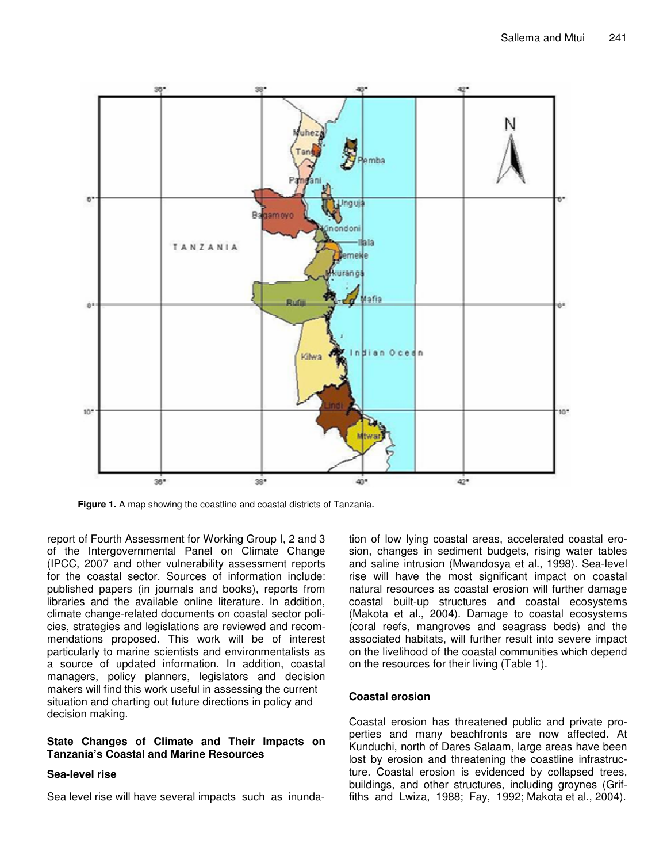

**Figure 1.** A map showing the coastline and coastal districts of Tanzania.

report of Fourth Assessment for Working Group I, 2 and 3 of the Intergovernmental Panel on Climate Change (IPCC, 2007 and other vulnerability assessment reports for the coastal sector. Sources of information include: published papers (in journals and books), reports from libraries and the available online literature. In addition, climate change-related documents on coastal sector policies, strategies and legislations are reviewed and recommendations proposed. This work will be of interest particularly to marine scientists and environmentalists as a source of updated information. In addition, coastal managers, policy planners, legislators and decision makers will find this work useful in assessing the current situation and charting out future directions in policy and decision making.

#### **State Changes of Climate and Their Impacts on Tanzania's Coastal and Marine Resources**

#### **Sea-level rise**

Sea level rise will have several impacts such as inunda-

tion of low lying coastal areas, accelerated coastal erosion, changes in sediment budgets, rising water tables and saline intrusion (Mwandosya et al., 1998). Sea-level rise will have the most significant impact on coastal natural resources as coastal erosion will further damage coastal built-up structures and coastal ecosystems (Makota et al., 2004). Damage to coastal ecosystems (coral reefs, mangroves and seagrass beds) and the associated habitats, will further result into severe impact on the livelihood of the coastal communities which depend on the resources for their living (Table 1).

#### **Coastal erosion**

Coastal erosion has threatened public and private properties and many beachfronts are now affected. At Kunduchi, north of Dares Salaam, large areas have been lost by erosion and threatening the coastline infrastructure. Coastal erosion is evidenced by collapsed trees, buildings, and other structures, including groynes (Griffiths and Lwiza, 1988; Fay, 1992; Makota et al., 2004).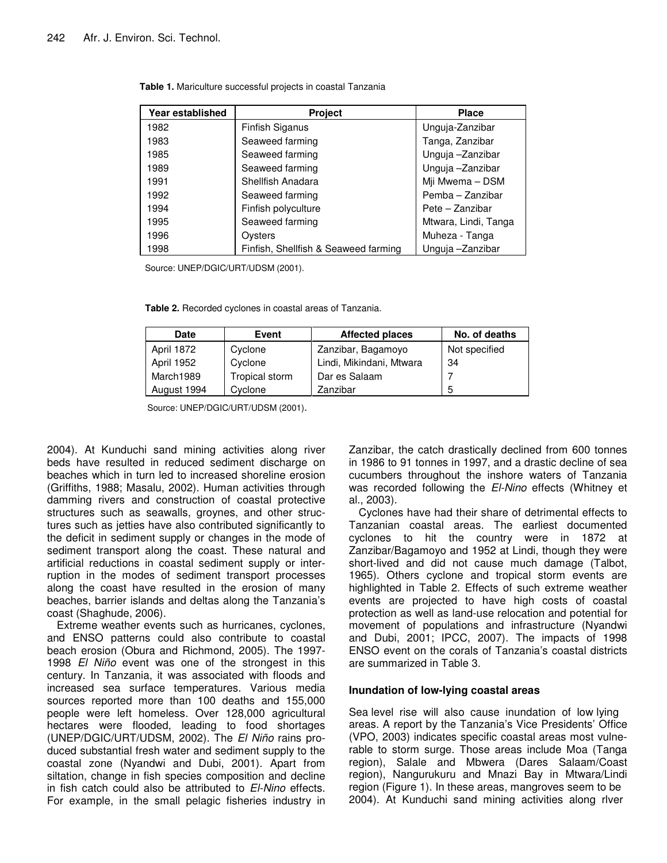| Year established | Project                              | <b>Place</b>         |
|------------------|--------------------------------------|----------------------|
| 1982             | Finfish Siganus                      | Unguja-Zanzibar      |
| 1983             | Seaweed farming                      | Tanga, Zanzibar      |
| 1985             | Seaweed farming                      | Unguja -Zanzibar     |
| 1989             | Seaweed farming                      | Unguja -Zanzibar     |
| 1991             | Shellfish Anadara                    | Mji Mwema - DSM      |
| 1992             | Seaweed farming                      | Pemba - Zanzibar     |
| 1994             | Finfish polyculture                  | Pete - Zanzibar      |
| 1995             | Seaweed farming                      | Mtwara, Lindi, Tanga |
| 1996             | Oysters                              | Muheza - Tanga       |
| 1998             | Finfish, Shellfish & Seaweed farming | Unguja -Zanzibar     |

**Table 1.** Mariculture successful projects in coastal Tanzania

Source: UNEP/DGIC/URT/UDSM (2001).

**Table 2.** Recorded cyclones in coastal areas of Tanzania.

| <b>Date</b> | Event          | <b>Affected places</b>   | No. of deaths |
|-------------|----------------|--------------------------|---------------|
| April 1872  | Cyclone        | Zanzibar, Bagamoyo       | Not specified |
| April 1952  | Cyclone        | Lindi, Mikindani, Mtwara | 34            |
| March1989   | Tropical storm | Dar es Salaam            |               |
| August 1994 | Cyclone        | Zanzibar                 | 5             |

Source: UNEP/DGIC/URT/UDSM (2001).

2004). At Kunduchi sand mining activities along river beds have resulted in reduced sediment discharge on beaches which in turn led to increased shoreline erosion (Griffiths, 1988; Masalu, 2002). Human activities through damming rivers and construction of coastal protective structures such as seawalls, groynes, and other structures such as jetties have also contributed significantly to the deficit in sediment supply or changes in the mode of sediment transport along the coast. These natural and artificial reductions in coastal sediment supply or interruption in the modes of sediment transport processes along the coast have resulted in the erosion of many beaches, barrier islands and deltas along the Tanzania's coast (Shaghude, 2006).

Extreme weather events such as hurricanes, cyclones, and ENSO patterns could also contribute to coastal beach erosion (Obura and Richmond, 2005). The 1997- 1998 *El Niño* event was one of the strongest in this century. In Tanzania, it was associated with floods and increased sea surface temperatures. Various media sources reported more than 100 deaths and 155,000 people were left homeless. Over 128,000 agricultural hectares were flooded, leading to food shortages (UNEP/DGIC/URT/UDSM, 2002). The *El Niño* rains produced substantial fresh water and sediment supply to the coastal zone (Nyandwi and Dubi, 2001). Apart from siltation, change in fish species composition and decline in fish catch could also be attributed to *El-Nino* effects. For example, in the small pelagic fisheries industry in

Zanzibar, the catch drastically declined from 600 tonnes in 1986 to 91 tonnes in 1997, and a drastic decline of sea cucumbers throughout the inshore waters of Tanzania was recorded following the *El-Nino* effects (Whitney et al., 2003).

Cyclones have had their share of detrimental effects to Tanzanian coastal areas. The earliest documented cyclones to hit the country were in 1872 at Zanzibar/Bagamoyo and 1952 at Lindi, though they were short-lived and did not cause much damage (Talbot, 1965). Others cyclone and tropical storm events are highlighted in Table 2. Effects of such extreme weather events are projected to have high costs of coastal protection as well as land-use relocation and potential for movement of populations and infrastructure (Nyandwi and Dubi, 2001; IPCC, 2007). The impacts of 1998 ENSO event on the corals of Tanzania's coastal districts are summarized in Table 3.

#### **Inundation of low-lying coastal areas**

Sea level rise will also cause inundation of low lying areas. A report by the Tanzania's Vice Presidents' Office (VPO, 2003) indicates specific coastal areas most vulnerable to storm surge. Those areas include Moa (Tanga region), Salale and Mbwera (Dares Salaam/Coast region), Nangurukuru and Mnazi Bay in Mtwara/Lindi region (Figure 1). In these areas, mangroves seem to be 2004). At Kunduchi sand mining activities along rlver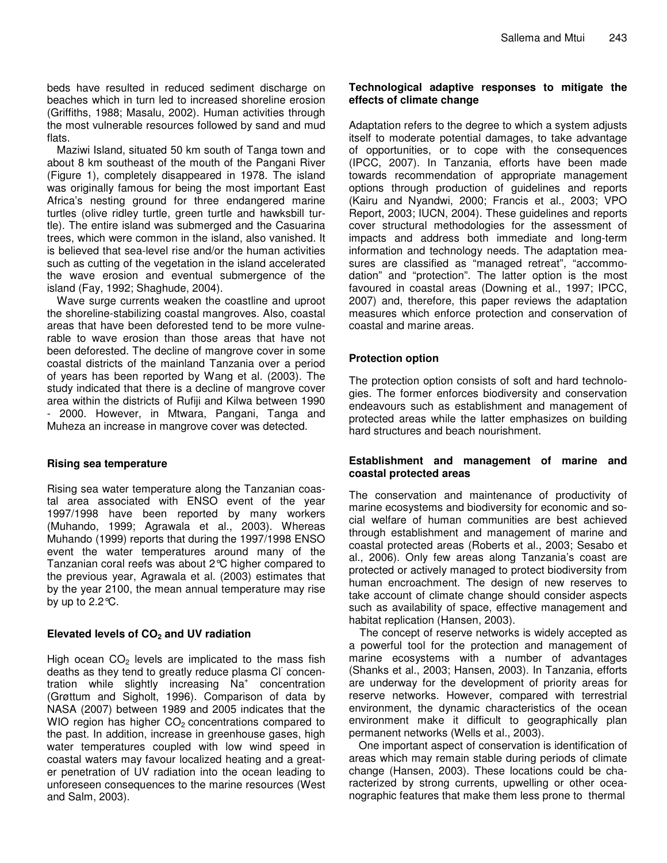beds have resulted in reduced sediment discharge on beaches which in turn led to increased shoreline erosion (Griffiths, 1988; Masalu, 2002). Human activities through the most vulnerable resources followed by sand and mud flats.

Maziwi Island, situated 50 km south of Tanga town and about 8 km southeast of the mouth of the Pangani River (Figure 1), completely disappeared in 1978. The island was originally famous for being the most important East Africa's nesting ground for three endangered marine turtles (olive ridley turtle, green turtle and hawksbill turtle). The entire island was submerged and the Casuarina trees, which were common in the island, also vanished. It is believed that sea-level rise and/or the human activities such as cutting of the vegetation in the island accelerated the wave erosion and eventual submergence of the island (Fay, 1992; Shaghude, 2004).

Wave surge currents weaken the coastline and uproot the shoreline-stabilizing coastal mangroves. Also, coastal areas that have been deforested tend to be more vulnerable to wave erosion than those areas that have not been deforested. The decline of mangrove cover in some coastal districts of the mainland Tanzania over a period of years has been reported by Wang et al. (2003). The study indicated that there is a decline of mangrove cover area within the districts of Rufiji and Kilwa between 1990 2000. However, in Mtwara, Pangani, Tanga and Muheza an increase in mangrove cover was detected.

#### **Rising sea temperature**

Rising sea water temperature along the Tanzanian coastal area associated with ENSO event of the year 1997/1998 have been reported by many workers (Muhando, 1999; Agrawala et al., 2003). Whereas Muhando (1999) reports that during the 1997/1998 ENSO event the water temperatures around many of the Tanzanian coral reefs was about 2°C higher compared to the previous year, Agrawala et al. (2003) estimates that by the year 2100, the mean annual temperature may rise by up to  $2.2^{\circ}$ C.

#### **Elevated levels of CO<sup>2</sup> and UV radiation**

High ocean  $CO<sub>2</sub>$  levels are implicated to the mass fish deaths as they tend to greatly reduce plasma Cl concentration while slightly increasing Na<sup>+</sup> concentration (Grøttum and Sigholt, 1996). Comparison of data by NASA (2007) between 1989 and 2005 indicates that the WIO region has higher  $CO<sub>2</sub>$  concentrations compared to the past. In addition, increase in greenhouse gases, high water temperatures coupled with low wind speed in coastal waters may favour localized heating and a greater penetration of UV radiation into the ocean leading to unforeseen consequences to the marine resources (West and Salm, 2003).

#### **Technological adaptive responses to mitigate the effects of climate change**

Adaptation refers to the degree to which a system adjusts itself to moderate potential damages, to take advantage of opportunities, or to cope with the consequences (IPCC, 2007). In Tanzania, efforts have been made towards recommendation of appropriate management options through production of guidelines and reports (Kairu and Nyandwi, 2000; Francis et al., 2003; VPO Report, 2003; IUCN, 2004). These guidelines and reports cover structural methodologies for the assessment of impacts and address both immediate and long-term information and technology needs. The adaptation measures are classified as "managed retreat", "accommodation" and "protection". The latter option is the most favoured in coastal areas (Downing et al., 1997; IPCC, 2007) and, therefore, this paper reviews the adaptation measures which enforce protection and conservation of coastal and marine areas.

## **Protection option**

The protection option consists of soft and hard technologies. The former enforces biodiversity and conservation endeavours such as establishment and management of protected areas while the latter emphasizes on building hard structures and beach nourishment.

#### **Establishment and management of marine and coastal protected areas**

The conservation and maintenance of productivity of marine ecosystems and biodiversity for economic and social welfare of human communities are best achieved through establishment and management of marine and coastal protected areas (Roberts et al., 2003; Sesabo et al., 2006). Only few areas along Tanzania's coast are protected or actively managed to protect biodiversity from human encroachment. The design of new reserves to take account of climate change should consider aspects such as availability of space, effective management and habitat replication (Hansen, 2003).

The concept of reserve networks is widely accepted as a powerful tool for the protection and management of marine ecosystems with a number of advantages (Shanks et al., 2003; Hansen, 2003). In Tanzania, efforts are underway for the development of priority areas for reserve networks. However, compared with terrestrial environment, the dynamic characteristics of the ocean environment make it difficult to geographically plan permanent networks (Wells et al., 2003).

One important aspect of conservation is identification of areas which may remain stable during periods of climate change (Hansen, 2003). These locations could be characterized by strong currents, upwelling or other oceanographic features that make them less prone to thermal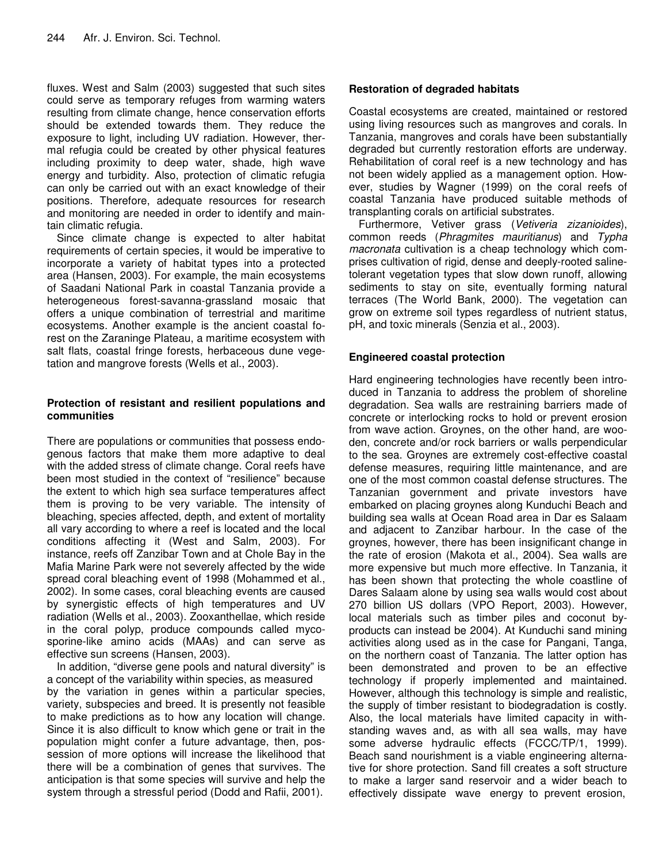fluxes. West and Salm (2003) suggested that such sites could serve as temporary refuges from warming waters resulting from climate change, hence conservation efforts should be extended towards them. They reduce the exposure to light, including UV radiation. However, thermal refugia could be created by other physical features including proximity to deep water, shade, high wave energy and turbidity. Also, protection of climatic refugia can only be carried out with an exact knowledge of their positions. Therefore, adequate resources for research and monitoring are needed in order to identify and maintain climatic refugia.

Since climate change is expected to alter habitat requirements of certain species, it would be imperative to incorporate a variety of habitat types into a protected area (Hansen, 2003). For example, the main ecosystems of Saadani National Park in coastal Tanzania provide a heterogeneous forest-savanna-grassland mosaic that offers a unique combination of terrestrial and maritime ecosystems. Another example is the ancient coastal forest on the Zaraninge Plateau, a maritime ecosystem with salt flats, coastal fringe forests, herbaceous dune vegetation and mangrove forests (Wells et al., 2003).

## **Protection of resistant and resilient populations and communities**

There are populations or communities that possess endogenous factors that make them more adaptive to deal with the added stress of climate change. Coral reefs have been most studied in the context of "resilience" because the extent to which high sea surface temperatures affect them is proving to be very variable. The intensity of bleaching, species affected, depth, and extent of mortality all vary according to where a reef is located and the local conditions affecting it (West and Salm, 2003). For instance, reefs off Zanzibar Town and at Chole Bay in the Mafia Marine Park were not severely affected by the wide spread coral bleaching event of 1998 (Mohammed et al., 2002). In some cases, coral bleaching events are caused by synergistic effects of high temperatures and UV radiation (Wells et al., 2003). Zooxanthellae, which reside in the coral polyp, produce compounds called mycosporine-like amino acids (MAAs) and can serve as effective sun screens (Hansen, 2003).

In addition, "diverse gene pools and natural diversity" is a concept of the variability within species, as measured by the variation in genes within a particular species, variety, subspecies and breed. It is presently not feasible to make predictions as to how any location will change. Since it is also difficult to know which gene or trait in the population might confer a future advantage, then, possession of more options will increase the likelihood that there will be a combination of genes that survives. The anticipation is that some species will survive and help the system through a stressful period (Dodd and Rafii, 2001).

## **Restoration of degraded habitats**

Coastal ecosystems are created, maintained or restored using living resources such as mangroves and corals. In Tanzania, mangroves and corals have been substantially degraded but currently restoration efforts are underway. Rehabilitation of coral reef is a new technology and has not been widely applied as a management option. However, studies by Wagner (1999) on the coral reefs of coastal Tanzania have produced suitable methods of transplanting corals on artificial substrates.

Furthermore, Vetiver grass (*Vetiveria zizanioides*), common reeds (*Phragmites mauritianus*) and *Typha macronata* cultivation is a cheap technology which comprises cultivation of rigid, dense and deeply-rooted salinetolerant vegetation types that slow down runoff, allowing sediments to stay on site, eventually forming natural terraces (The World Bank, 2000). The vegetation can grow on extreme soil types regardless of nutrient status, pH, and toxic minerals (Senzia et al., 2003).

## **Engineered coastal protection**

Hard engineering technologies have recently been introduced in Tanzania to address the problem of shoreline degradation. Sea walls are restraining barriers made of concrete or interlocking rocks to hold or prevent erosion from wave action. Groynes, on the other hand, are wooden, concrete and/or rock barriers or walls perpendicular to the sea. Groynes are extremely cost-effective coastal defense measures, requiring little maintenance, and are one of the most common coastal defense structures. The Tanzanian government and private investors have embarked on placing groynes along Kunduchi Beach and building sea walls at Ocean Road area in Dar es Salaam and adjacent to Zanzibar harbour. In the case of the groynes, however, there has been insignificant change in the rate of erosion (Makota et al., 2004). Sea walls are more expensive but much more effective. In Tanzania, it has been shown that protecting the whole coastline of Dares Salaam alone by using sea walls would cost about 270 billion US dollars (VPO Report, 2003). However, local materials such as timber piles and coconut byproducts can instead be 2004). At Kunduchi sand mining activities along used as in the case for Pangani, Tanga, on the northern coast of Tanzania. The latter option has been demonstrated and proven to be an effective technology if properly implemented and maintained. However, although this technology is simple and realistic, the supply of timber resistant to biodegradation is costly. Also, the local materials have limited capacity in withstanding waves and, as with all sea walls, may have some adverse hydraulic effects (FCCC/TP/1, 1999). Beach sand nourishment is a viable engineering alternative for shore protection. Sand fill creates a soft structure to make a larger sand reservoir and a wider beach to effectively dissipate wave energy to prevent erosion,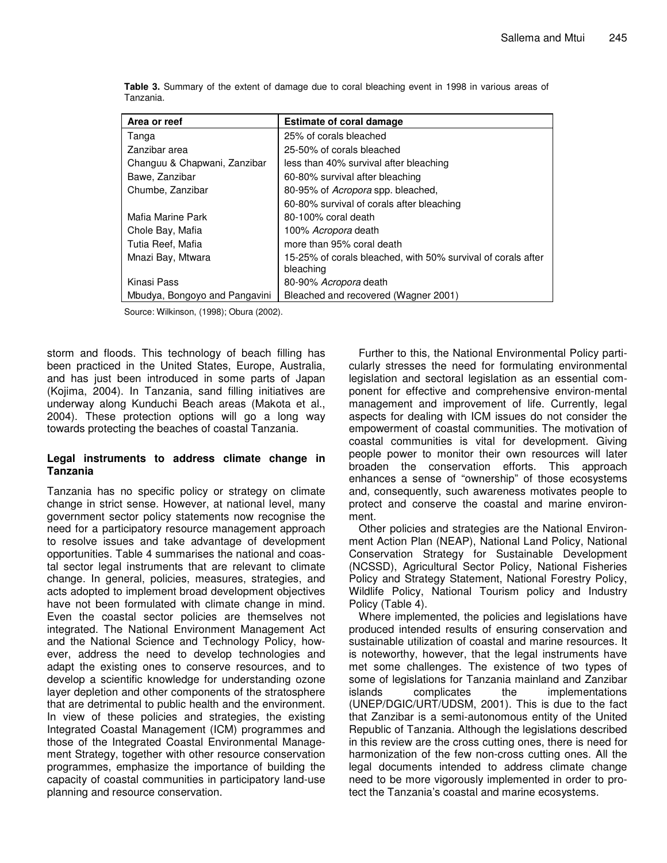| Area or reef                  | <b>Estimate of coral damage</b>                                           |
|-------------------------------|---------------------------------------------------------------------------|
| Tanga                         | 25% of corals bleached                                                    |
| Zanzibar area                 | 25-50% of corals bleached                                                 |
| Changuu & Chapwani, Zanzibar  | less than 40% survival after bleaching                                    |
| Bawe, Zanzibar                | 60-80% survival after bleaching                                           |
| Chumbe, Zanzibar              | 80-95% of Acropora spp. bleached,                                         |
|                               | 60-80% survival of corals after bleaching                                 |
| Mafia Marine Park             | 80-100% coral death                                                       |
| Chole Bay, Mafia              | 100% Acropora death                                                       |
| Tutia Reef, Mafia             | more than 95% coral death                                                 |
| Mnazi Bay, Mtwara             | 15-25% of corals bleached, with 50% survival of corals after<br>bleaching |
| Kinasi Pass                   | 80-90% Acropora death                                                     |
| Mbudya, Bongoyo and Pangavini | Bleached and recovered (Wagner 2001)                                      |

**Table 3.** Summary of the extent of damage due to coral bleaching event in 1998 in various areas of Tanzania.

Source: Wilkinson, (1998); Obura (2002).

storm and floods. This technology of beach filling has been practiced in the United States, Europe, Australia, and has just been introduced in some parts of Japan (Kojima, 2004). In Tanzania, sand filling initiatives are underway along Kunduchi Beach areas (Makota et al., 2004). These protection options will go a long way towards protecting the beaches of coastal Tanzania.

#### **Legal instruments to address climate change in Tanzania**

Tanzania has no specific policy or strategy on climate change in strict sense. However, at national level, many government sector policy statements now recognise the need for a participatory resource management approach to resolve issues and take advantage of development opportunities. Table 4 summarises the national and coastal sector legal instruments that are relevant to climate change. In general, policies, measures, strategies, and acts adopted to implement broad development objectives have not been formulated with climate change in mind. Even the coastal sector policies are themselves not integrated. The National Environment Management Act and the National Science and Technology Policy, however, address the need to develop technologies and adapt the existing ones to conserve resources, and to develop a scientific knowledge for understanding ozone layer depletion and other components of the stratosphere that are detrimental to public health and the environment. In view of these policies and strategies, the existing Integrated Coastal Management (ICM) programmes and those of the Integrated Coastal Environmental Management Strategy, together with other resource conservation programmes, emphasize the importance of building the capacity of coastal communities in participatory land-use planning and resource conservation.

Further to this, the National Environmental Policy particularly stresses the need for formulating environmental legislation and sectoral legislation as an essential component for effective and comprehensive environ-mental management and improvement of life. Currently, legal aspects for dealing with ICM issues do not consider the empowerment of coastal communities. The motivation of coastal communities is vital for development. Giving people power to monitor their own resources will later broaden the conservation efforts. This approach enhances a sense of "ownership" of those ecosystems and, consequently, such awareness motivates people to protect and conserve the coastal and marine environment.

Other policies and strategies are the National Environment Action Plan (NEAP), National Land Policy, National Conservation Strategy for Sustainable Development (NCSSD), Agricultural Sector Policy, National Fisheries Policy and Strategy Statement, National Forestry Policy, Wildlife Policy, National Tourism policy and Industry Policy (Table 4).

Where implemented, the policies and legislations have produced intended results of ensuring conservation and sustainable utilization of coastal and marine resources. It is noteworthy, however, that the legal instruments have met some challenges. The existence of two types of some of legislations for Tanzania mainland and Zanzibar islands complicates the implementations (UNEP/DGIC/URT/UDSM, 2001). This is due to the fact that Zanzibar is a semi-autonomous entity of the United Republic of Tanzania. Although the legislations described in this review are the cross cutting ones, there is need for harmonization of the few non-cross cutting ones. All the legal documents intended to address climate change need to be more vigorously implemented in order to protect the Tanzania's coastal and marine ecosystems.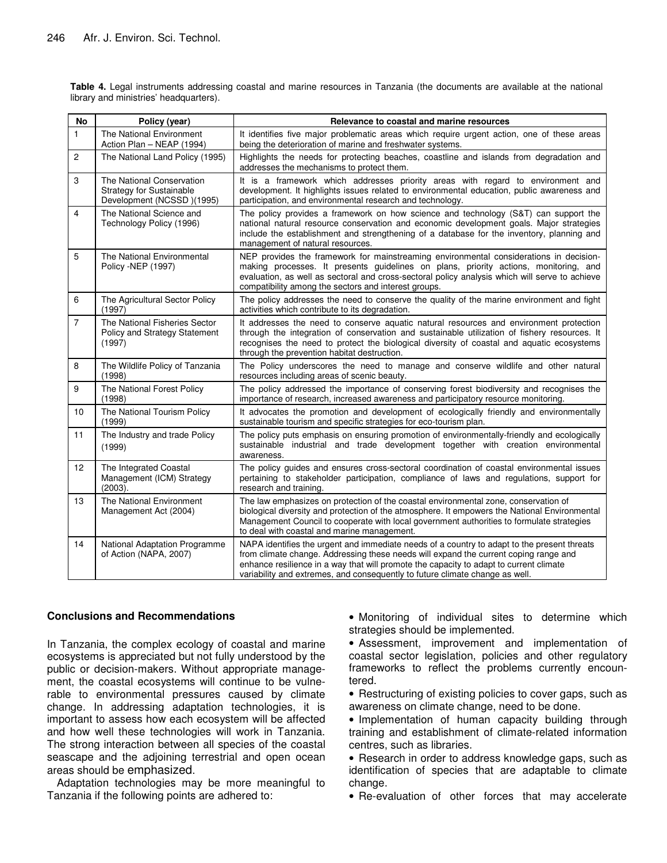**Table 4.** Legal instruments addressing coastal and marine resources in Tanzania (the documents are available at the national library and ministries' headquarters).

| No             | Policy (year)                                                                             | Relevance to coastal and marine resources                                                                                                                                                                                                                                                                                                                     |
|----------------|-------------------------------------------------------------------------------------------|---------------------------------------------------------------------------------------------------------------------------------------------------------------------------------------------------------------------------------------------------------------------------------------------------------------------------------------------------------------|
| 1              | The National Environment<br>Action Plan - NEAP (1994)                                     | It identifies five major problematic areas which require urgent action, one of these areas<br>being the deterioration of marine and freshwater systems.                                                                                                                                                                                                       |
| $\overline{c}$ | The National Land Policy (1995)                                                           | Highlights the needs for protecting beaches, coastline and islands from degradation and<br>addresses the mechanisms to protect them.                                                                                                                                                                                                                          |
| 3              | The National Conservation<br><b>Strategy for Sustainable</b><br>Development (NCSSD)(1995) | It is a framework which addresses priority areas with regard to environment and<br>development. It highlights issues related to environmental education, public awareness and<br>participation, and environmental research and technology.                                                                                                                    |
| $\overline{4}$ | The National Science and<br>Technology Policy (1996)                                      | The policy provides a framework on how science and technology (S&T) can support the<br>national natural resource conservation and economic development goals. Major strategies<br>include the establishment and strengthening of a database for the inventory, planning and<br>management of natural resources.                                               |
| 5              | The National Environmental<br>Policy - NEP (1997)                                         | NEP provides the framework for mainstreaming environmental considerations in decision-<br>making processes. It presents guidelines on plans, priority actions, monitoring, and<br>evaluation, as well as sectoral and cross-sectoral policy analysis which will serve to achieve<br>compatibility among the sectors and interest groups.                      |
| 6              | The Agricultural Sector Policy<br>(1997)                                                  | The policy addresses the need to conserve the quality of the marine environment and fight<br>activities which contribute to its degradation.                                                                                                                                                                                                                  |
| $\overline{7}$ | The National Fisheries Sector<br>Policy and Strategy Statement<br>(1997)                  | It addresses the need to conserve aquatic natural resources and environment protection<br>through the integration of conservation and sustainable utilization of fishery resources. It<br>recognises the need to protect the biological diversity of coastal and aquatic ecosystems<br>through the prevention habitat destruction.                            |
| 8              | The Wildlife Policy of Tanzania<br>(1998)                                                 | The Policy underscores the need to manage and conserve wildlife and other natural<br>resources including areas of scenic beauty.                                                                                                                                                                                                                              |
| 9              | The National Forest Policy<br>(1998)                                                      | The policy addressed the importance of conserving forest biodiversity and recognises the<br>importance of research, increased awareness and participatory resource monitoring.                                                                                                                                                                                |
| 10             | The National Tourism Policy<br>(1999)                                                     | It advocates the promotion and development of ecologically friendly and environmentally<br>sustainable tourism and specific strategies for eco-tourism plan.                                                                                                                                                                                                  |
| 11             | The Industry and trade Policy<br>(1999)                                                   | The policy puts emphasis on ensuring promotion of environmentally-friendly and ecologically<br>sustainable industrial and trade development together with creation environmental<br>awareness.                                                                                                                                                                |
| 12             | The Integrated Coastal<br>Management (ICM) Strategy<br>(2003).                            | The policy quides and ensures cross-sectoral coordination of coastal environmental issues<br>pertaining to stakeholder participation, compliance of laws and regulations, support for<br>research and training.                                                                                                                                               |
| 13             | The National Environment<br>Management Act (2004)                                         | The law emphasizes on protection of the coastal environmental zone, conservation of<br>biological diversity and protection of the atmosphere. It empowers the National Environmental<br>Management Council to cooperate with local government authorities to formulate strategies<br>to deal with coastal and marine management.                              |
| 14             | National Adaptation Programme<br>of Action (NAPA, 2007)                                   | NAPA identifies the urgent and immediate needs of a country to adapt to the present threats<br>from climate change. Addressing these needs will expand the current coping range and<br>enhance resilience in a way that will promote the capacity to adapt to current climate<br>variability and extremes, and consequently to future climate change as well. |

#### **Conclusions and Recommendations**

In Tanzania, the complex ecology of coastal and marine ecosystems is appreciated but not fully understood by the public or decision-makers. Without appropriate management, the coastal ecosystems will continue to be vulnerable to environmental pressures caused by climate change. In addressing adaptation technologies, it is important to assess how each ecosystem will be affected and how well these technologies will work in Tanzania. The strong interaction between all species of the coastal seascape and the adjoining terrestrial and open ocean areas should be emphasized.

Adaptation technologies may be more meaningful to Tanzania if the following points are adhered to:

• Monitoring of individual sites to determine which strategies should be implemented.

- Assessment, improvement and implementation of coastal sector legislation, policies and other regulatory frameworks to reflect the problems currently encountered.
- Restructuring of existing policies to cover gaps, such as awareness on climate change, need to be done.
- Implementation of human capacity building through training and establishment of climate-related information centres, such as libraries.
- Research in order to address knowledge gaps, such as identification of species that are adaptable to climate change.
- Re-evaluation of other forces that may accelerate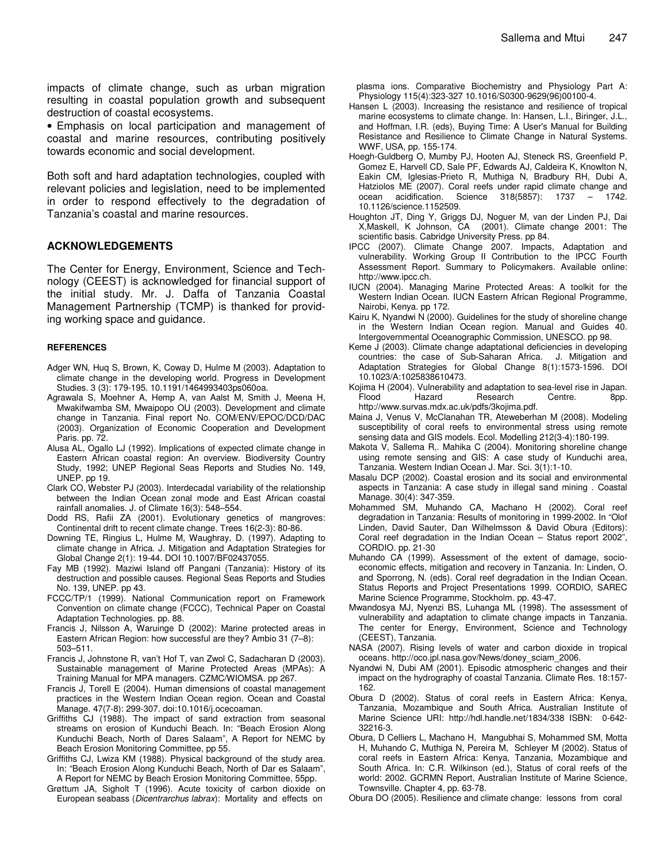impacts of climate change, such as urban migration resulting in coastal population growth and subsequent destruction of coastal ecosystems.

• Emphasis on local participation and management of coastal and marine resources, contributing positively towards economic and social development.

Both soft and hard adaptation technologies, coupled with relevant policies and legislation, need to be implemented in order to respond effectively to the degradation of Tanzania's coastal and marine resources.

#### **ACKNOWLEDGEMENTS**

The Center for Energy, Environment, Science and Technology (CEEST) is acknowledged for financial support of the initial study. Mr. J. Daffa of Tanzania Coastal Management Partnership (TCMP) is thanked for providing working space and guidance.

#### **REFERENCES**

- Adger WN, Huq S, Brown, K, Coway D, Hulme M (2003). Adaptation to climate change in the developing world. Progress in Development Studies. 3 (3): 179-195. 10.1191/1464993403ps060oa.
- Agrawala S, Moehner A, Hemp A, van Aalst M, Smith J, Meena H, Mwakifwamba SM, Mwaipopo OU (2003). Development and climate change in Tanzania. Final report No. COM/ENV/EPOC/DCD/DAC (2003). Organization of Economic Cooperation and Development Paris. pp. 72.
- Alusa AL, Ogallo LJ (1992). Implications of expected climate change in Eastern African coastal region: An overview. Biodiversity Country Study, 1992; UNEP Regional Seas Reports and Studies No. 149, UNEP. pp 19.
- Clark CO, Webster PJ (2003). Interdecadal variability of the relationship between the Indian Ocean zonal mode and East African coastal rainfall anomalies. J. of Climate 16(3): 548–554.
- Dodd RS, Rafii ZA (2001). Evolutionary genetics of mangroves: Continental drift to recent climate change. Trees 16(2-3): 80-86.
- Downing TE, Ringius L, Hulme M, Waughray, D. (1997). Adapting to climate change in Africa. J. Mitigation and Adaptation Strategies for Global Change 2(1): 19-44. DOI 10.1007/BF02437055.
- Fay MB (1992). Maziwi Island off Pangani (Tanzania): History of its destruction and possible causes. Regional Seas Reports and Studies No. 139, UNEP. pp 43.
- FCCC/TP/1 (1999). National Communication report on Framework Convention on climate change (FCCC), Technical Paper on Coastal Adaptation Technologies. pp. 88.
- Francis J, Nilsson A, Waruinge D (2002): Marine protected areas in Eastern African Region: how successful are they? Ambio 31 (7–8): 503–511.
- Francis J, Johnstone R, van't Hof T, van Zwol C, Sadacharan D (2003). Sustainable management of Marine Protected Areas (MPAs): A Training Manual for MPA managers. CZMC/WIOMSA. pp 267.
- Francis J, Torell E (2004). Human dimensions of coastal management practices in the Western Indian Ocean region. Ocean and Coastal Manage. 47(7-8): 299-307. doi:10.1016/j.ocecoaman.
- Griffiths CJ (1988). The impact of sand extraction from seasonal streams on erosion of Kunduchi Beach. In: "Beach Erosion Along Kunduchi Beach, North of Dares Salaam", A Report for NEMC by Beach Erosion Monitoring Committee, pp 55.
- Griffiths CJ, Lwiza KM (1988). Physical background of the study area. In: "Beach Erosion Along Kunduchi Beach, North of Dar es Salaam", A Report for NEMC by Beach Erosion Monitoring Committee, 55pp.
- Grøttum JA, Sigholt T (1996). Acute toxicity of carbon dioxide on European seabass (*Dicentrarchus labrax*): Mortality and effects on

plasma ions. Comparative Biochemistry and Physiology Part A: Physiology 115(4):323-327 10.1016/S0300-9629(96)00100-4.

- Hansen L (2003). Increasing the resistance and resilience of tropical marine ecosystems to climate change. In: Hansen, L.I., Biringer, J.L., and Hoffman, I.R. (eds), Buying Time: A User's Manual for Building Resistance and Resilience to Climate Change in Natural Systems. WWF, USA, pp. 155-174.
- Hoegh-Guldberg O, Mumby PJ, Hooten AJ, Steneck RS, Greenfield P, Gomez E, Harvell CD, Sale PF, Edwards AJ, Caldeira K, Knowlton N, Eakin CM, Iglesias-Prieto R, Muthiga N, Bradbury RH, Dubi A, Hatziolos ME (2007). Coral reefs under rapid climate change and ocean acidification. Science 318(5857): 1737 - 1742. ocean acidification. Science 318(5857): 1737 – 1742. 10.1126/science.1152509.
- Houghton JT, Ding Y, Griggs DJ, Noguer M, van der Linden PJ, Dai X,Maskell, K Johnson, CA (2001). Climate change 2001: The scientific basis. Cabridge University Press. pp 84.
- IPCC (2007). Climate Change 2007. Impacts, Adaptation and vulnerability. Working Group II Contribution to the IPCC Fourth Assessment Report. Summary to Policymakers. Available online: http://www.ipcc.ch.
- IUCN (2004). Managing Marine Protected Areas: A toolkit for the Western Indian Ocean. IUCN Eastern African Regional Programme, Nairobi, Kenya. pp 172.
- Kairu K, Nyandwi N (2000). Guidelines for the study of shoreline change in the Western Indian Ocean region. Manual and Guides 40. Intergovernmental Oceanographic Commission, UNESCO. pp 98.
- Keme J (2003). Climate change adaptational deficiencies in developing countries: the case of Sub-Saharan Africa. J. Mitigation and Adaptation Strategies for Global Change 8(1):1573-1596. DOI 10.1023/A:1025838610473.
- Kojima H (2004). Vulnerability and adaptation to sea-level rise in Japan. Flood Hazard Research Centre. 8pp. http://www.survas.mdx.ac.uk/pdfs/3kojima.pdf.
- Maina J, Venus V, McClanahan TR, Ateweberhan M (2008). Modeling susceptibility of coral reefs to environmental stress using remote sensing data and GIS models. Ecol. Modelling 212(3-4):180-199.
- Makota V, Sallema R,. Mahika C (2004). Monitoring shoreline change using remote sensing and GIS: A case study of Kunduchi area, Tanzania. Western Indian Ocean J. Mar. Sci*.* 3(1):1-10.
- Masalu DCP (2002). Coastal erosion and its social and environmental aspects in Tanzania: A case study in illegal sand mining . Coastal Manage. 30(4): 347-359.
- Mohammed SM, Muhando CA, Machano H (2002). Coral reef degradation in Tanzania: Results of monitoring in 1999-2002. In "Olof Linden, David Sauter, Dan Wilhelmsson & David Obura (Editors): Coral reef degradation in the Indian Ocean – Status report 2002", CORDIO. pp. 21-30
- Muhando CA (1999). Assessment of the extent of damage, socioeconomic effects, mitigation and recovery in Tanzania. In: Linden, O. and Sporrong, N. (eds). Coral reef degradation in the Indian Ocean. Status Reports and Project Presentations 1999. CORDIO, SAREC Marine Science Programme, Stockholm. pp. 43-47.
- Mwandosya MJ, Nyenzi BS, Luhanga ML (1998). The assessment of vulnerability and adaptation to climate change impacts in Tanzania. The center for Energy, Environment, Science and Technology (CEEST), Tanzania.
- NASA (2007). Rising levels of water and carbon dioxide in tropical oceans. http://oco.jpl.nasa.gov/News/doney\_sciam\_2006.
- Nyandwi N, Dubi AM (2001). Episodic atmospheric changes and their impact on the hydrography of coastal Tanzania. Climate Res. 18:157- 162.
- Obura D (2002). Status of coral reefs in Eastern Africa: Kenya, Tanzania, Mozambique and South Africa. Australian Institute of Marine Science URI: http://hdl.handle.net/1834/338 ISBN: 0-642- 32216-3.
- Obura, D Celliers L, Machano H, Mangubhai S, Mohammed SM, Motta H, Muhando C, Muthiga N, Pereira M, Schleyer M (2002). Status of coral reefs in Eastern Africa: Kenya, Tanzania, Mozambique and South Africa. In: C.R. Wilkinson (ed.), Status of coral reefs of the world: 2002. GCRMN Report, Australian Institute of Marine Science, Townsville. Chapter 4, pp. 63-78.
- Obura DO (2005). Resilience and climate change: lessons from coral